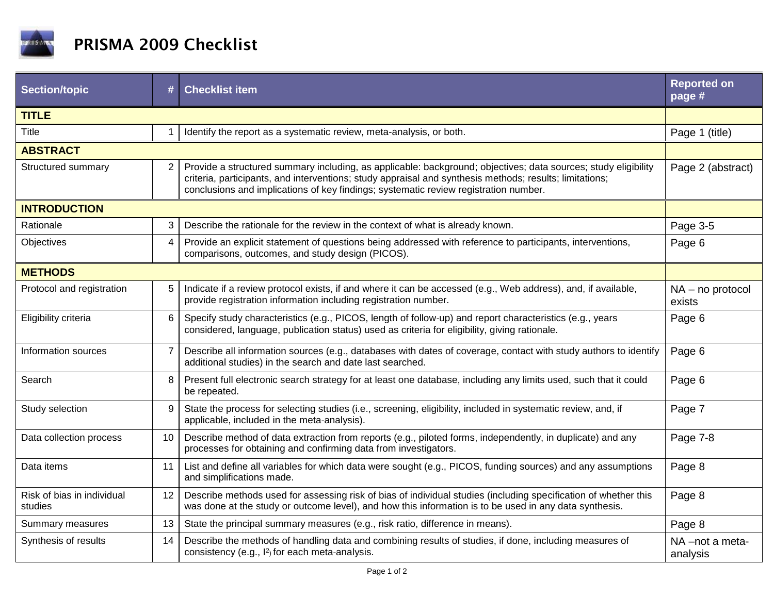

| <b>Section/topic</b>                  | #              | <b>Checklist item</b>                                                                                                                                                                                                                                                                                             | <b>Reported on</b><br>page # |  |  |
|---------------------------------------|----------------|-------------------------------------------------------------------------------------------------------------------------------------------------------------------------------------------------------------------------------------------------------------------------------------------------------------------|------------------------------|--|--|
| <b>TITLE</b>                          |                |                                                                                                                                                                                                                                                                                                                   |                              |  |  |
| Title                                 | $\mathbf 1$    | Identify the report as a systematic review, meta-analysis, or both.                                                                                                                                                                                                                                               | Page 1 (title)               |  |  |
| <b>ABSTRACT</b>                       |                |                                                                                                                                                                                                                                                                                                                   |                              |  |  |
| Structured summary                    | $\overline{2}$ | Provide a structured summary including, as applicable: background; objectives; data sources; study eligibility<br>criteria, participants, and interventions; study appraisal and synthesis methods; results; limitations;<br>conclusions and implications of key findings; systematic review registration number. | Page 2 (abstract)            |  |  |
| <b>INTRODUCTION</b>                   |                |                                                                                                                                                                                                                                                                                                                   |                              |  |  |
| Rationale                             | 3              | Describe the rationale for the review in the context of what is already known.                                                                                                                                                                                                                                    | Page 3-5                     |  |  |
| Objectives                            | $\overline{4}$ | Provide an explicit statement of questions being addressed with reference to participants, interventions,<br>comparisons, outcomes, and study design (PICOS).                                                                                                                                                     | Page 6                       |  |  |
| <b>METHODS</b>                        |                |                                                                                                                                                                                                                                                                                                                   |                              |  |  |
| Protocol and registration             | 5              | Indicate if a review protocol exists, if and where it can be accessed (e.g., Web address), and, if available,<br>provide registration information including registration number.                                                                                                                                  | $NA - no$ protocol<br>exists |  |  |
| Eligibility criteria                  | 6              | Specify study characteristics (e.g., PICOS, length of follow-up) and report characteristics (e.g., years<br>considered, language, publication status) used as criteria for eligibility, giving rationale.                                                                                                         | Page 6                       |  |  |
| Information sources                   | $\overline{7}$ | Describe all information sources (e.g., databases with dates of coverage, contact with study authors to identify<br>additional studies) in the search and date last searched.                                                                                                                                     | Page 6                       |  |  |
| Search                                | 8              | Present full electronic search strategy for at least one database, including any limits used, such that it could<br>be repeated.                                                                                                                                                                                  | Page 6                       |  |  |
| Study selection                       | 9              | State the process for selecting studies (i.e., screening, eligibility, included in systematic review, and, if<br>applicable, included in the meta-analysis).                                                                                                                                                      | Page 7                       |  |  |
| Data collection process               | 10             | Describe method of data extraction from reports (e.g., piloted forms, independently, in duplicate) and any<br>processes for obtaining and confirming data from investigators.                                                                                                                                     | Page 7-8                     |  |  |
| Data items                            | 11             | List and define all variables for which data were sought (e.g., PICOS, funding sources) and any assumptions<br>and simplifications made.                                                                                                                                                                          | Page 8                       |  |  |
| Risk of bias in individual<br>studies | 12             | Describe methods used for assessing risk of bias of individual studies (including specification of whether this<br>was done at the study or outcome level), and how this information is to be used in any data synthesis.                                                                                         | Page 8                       |  |  |
| Summary measures                      | 13             | State the principal summary measures (e.g., risk ratio, difference in means).                                                                                                                                                                                                                                     | Page 8                       |  |  |
| Synthesis of results                  | 14             | Describe the methods of handling data and combining results of studies, if done, including measures of<br>consistency (e.g., l <sup>2</sup> ) for each meta-analysis.                                                                                                                                             | NA-not a meta-<br>analysis   |  |  |